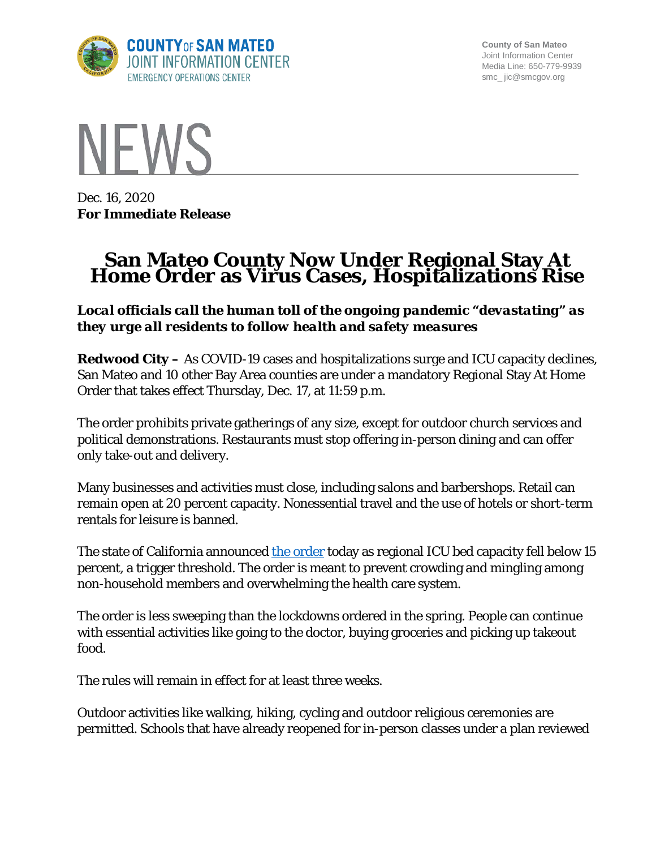

**County of San Mateo** Joint Information Center Media Line: 650-779-9939 smc\_ jic@smcgov.org



Dec. 16, 2020 **For Immediate Release**

# **San Mateo County Now Under Regional Stay At Home Order as Virus Cases, Hospitalizations Rise**

*Local officials call the human toll of the ongoing pandemic "devastating" as they urge all residents to follow health and safety measures*

**Redwood City –** As COVID-19 cases and hospitalizations surge and ICU capacity declines, San Mateo and 10 other Bay Area counties are under a mandatory Regional Stay At Home Order that takes effect Thursday, Dec. 17, at 11:59 p.m.

The order prohibits private gatherings of any size, except for outdoor church services and political demonstrations. Restaurants must stop offering in-person dining and can offer only take-out and delivery.

Many businesses and activities must close, including salons and barbershops. Retail can remain open at 20 percent capacity. Nonessential travel and the use of hotels or short-term rentals for leisure is banned.

The state of California announced [the order](https://www.gov.ca.gov/wp-content/uploads/2020/12/12.3.20-Stay-at-Home-Order-ICU-Scenario.pdf) today as regional ICU bed capacity fell below 15 percent, a trigger threshold. The order is meant to prevent crowding and mingling among non-household members and overwhelming the health care system.

The order is less sweeping than the lockdowns ordered in the spring. People can continue with essential activities like going to the doctor, buying groceries and picking up takeout food.

The rules will remain in effect for at least three weeks.

Outdoor activities like walking, hiking, cycling and outdoor religious ceremonies are permitted. Schools that have already reopened for in-person classes under a plan reviewed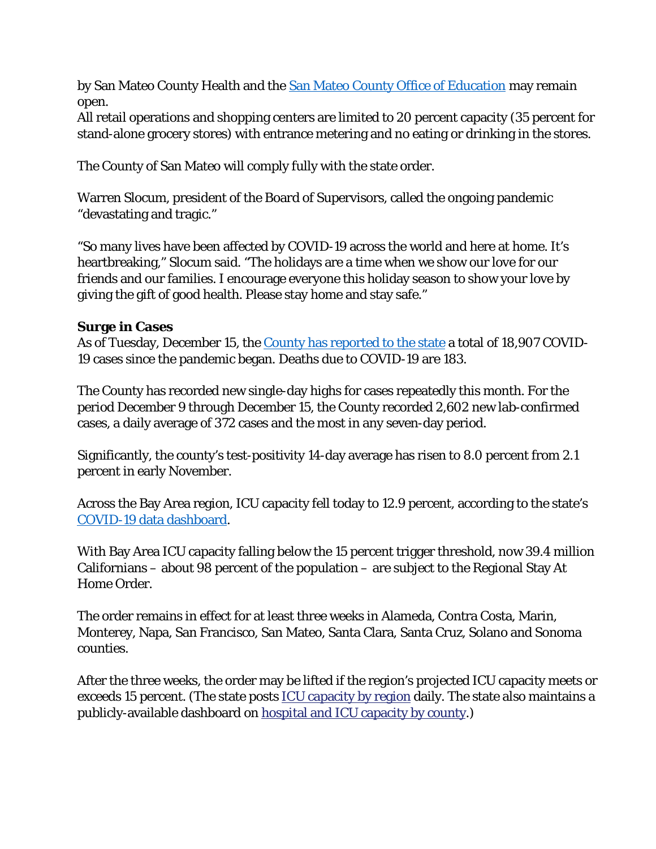by San Mateo County Health and the [San Mateo County Office of Education](https://www.smcoe.org/other/for-administrators/school-recovery-planning.html) may remain open.

All retail operations and shopping centers are limited to 20 percent capacity (35 percent for stand-alone grocery stores) with entrance metering and no eating or drinking in the stores.

The County of San Mateo will comply fully with the state order.

Warren Slocum, president of the Board of Supervisors, called the ongoing pandemic "devastating and tragic."

"So many lives have been affected by COVID-19 across the world and here at home. It's heartbreaking," Slocum said. "The holidays are a time when we show our love for our friends and our families. I encourage everyone this holiday season to show your love by giving the gift of good health. Please stay home and stay safe."

#### **Surge in Cases**

As of Tuesday, December 15, the [County has reported to the state](https://covid19.ca.gov/state-dashboard/) a total of 18,907 COVID-19 cases since the pandemic began. Deaths due to COVID-19 are 183.

The County has recorded new single-day highs for cases repeatedly this month. For the period December 9 through December 15, the County recorded 2,602 new lab-confirmed cases, a daily average of 372 cases and the most in any seven-day period.

Significantly, the county's test-positivity 14-day average has risen to 8.0 percent from 2.1 percent in early November.

Across the Bay Area region, ICU capacity fell today to 12.9 percent, according to the state's [COVID-19 data dashboard.](https://covid19.ca.gov/state-dashboard/)

With Bay Area ICU capacity falling below the 15 percent trigger threshold, now 39.4 million Californians – about 98 percent of the population – are subject to the Regional Stay At Home Order.

The order remains in effect for at least three weeks in Alameda, Contra Costa, Marin, Monterey, Napa, San Francisco, San Mateo, Santa Clara, Santa Cruz, Solano and Sonoma counties.

After the three weeks, the order may be lifted if the region's projected ICU capacity meets or exceeds 15 percent. (The state posts **[ICU capacity by region](https://covid19.ca.gov/stay-home-except-for-essential-needs/#icu-capacity) daily**. The state also maintains a publicly-available dashboard on [hospital and ICU capacity by county.](https://covid19.ca.gov/state-dashboard/))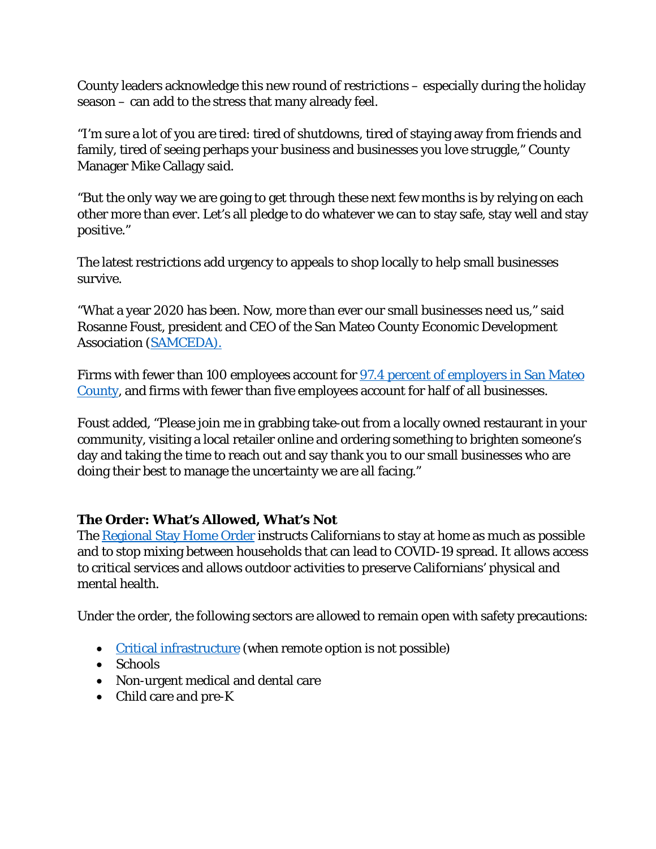County leaders acknowledge this new round of restrictions – especially during the holiday season – can add to the stress that many already feel.

"I'm sure a lot of you are tired: tired of shutdowns, tired of staying away from friends and family, tired of seeing perhaps your business and businesses you love struggle," County Manager Mike Callagy said.

"But the only way we are going to get through these next few months is by relying on each other more than ever. Let's all pledge to do whatever we can to stay safe, stay well and stay positive."

The latest restrictions add urgency to appeals to shop locally to help small businesses survive.

"What a year 2020 has been. Now, more than ever our small businesses need us," said Rosanne Foust, president and CEO of the San Mateo County Economic Development Association [\(SAMCEDA\).](https://www.samceda.org/)

Firms with fewer than 100 employees account for 97.4 percent of employers in San Mateo [County,](https://cmo.smcgov.org/us-census-small-business-big-business-san-mateo-county) and firms with fewer than five employees account for half of all businesses.

Foust added, "Please join me in grabbing take-out from a locally owned restaurant in your community, visiting a local retailer online and ordering something to brighten someone's day and taking the time to reach out and say thank you to our small businesses who are doing their best to manage the uncertainty we are all facing."

## **The Order: What's Allowed, What's Not**

The [Regional Stay Home Order](https://covid19.ca.gov/stay-home-except-for-essential-needs/#regional-stay-home-order) instructs Californians to stay at home as much as possible and to stop mixing between households that can lead to COVID-19 spread. It allows access to critical services and allows outdoor activities to preserve Californians' physical and mental health.

Under the order, the following sectors are allowed to remain open with safety precautions:

- [Critical infrastructure](https://covid19.ca.gov/essential-workforce/) (when remote option is not possible)
- Schools
- Non-urgent medical and dental care
- Child care and pre-K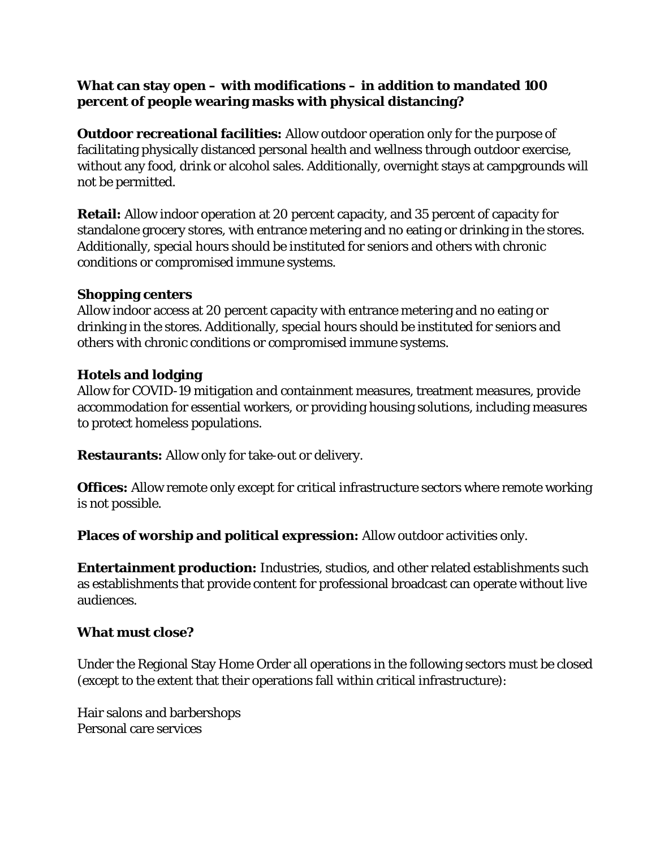### **What can stay open – with modifications – in addition to mandated 100 percent of people wearing masks with physical distancing?**

**Outdoor recreational facilities:** Allow outdoor operation only for the purpose of facilitating physically distanced personal health and wellness through outdoor exercise, without any food, drink or alcohol sales. Additionally, overnight stays at campgrounds will not be permitted.

**Retail:** Allow indoor operation at 20 percent capacity, and 35 percent of capacity for standalone grocery stores, with entrance metering and no eating or drinking in the stores. Additionally, special hours should be instituted for seniors and others with chronic conditions or compromised immune systems.

#### **Shopping centers**

Allow indoor access at 20 percent capacity with entrance metering and no eating or drinking in the stores. Additionally, special hours should be instituted for seniors and others with chronic conditions or compromised immune systems.

#### **Hotels and lodging**

Allow for COVID-19 mitigation and containment measures, treatment measures, provide accommodation for essential workers, or providing housing solutions, including measures to protect homeless populations.

**Restaurants:** Allow only for take-out or delivery.

**Offices:** Allow remote only except for critical infrastructure sectors where remote working is not possible.

**Places of worship and political expression:** Allow outdoor activities only.

**Entertainment production:** Industries, studios, and other related establishments such as establishments that provide content for professional broadcast can operate without live audiences.

#### **What must close?**

Under the Regional Stay Home Order all operations in the following sectors must be closed (except to the extent that their operations fall within critical infrastructure):

Hair salons and barbershops Personal care services